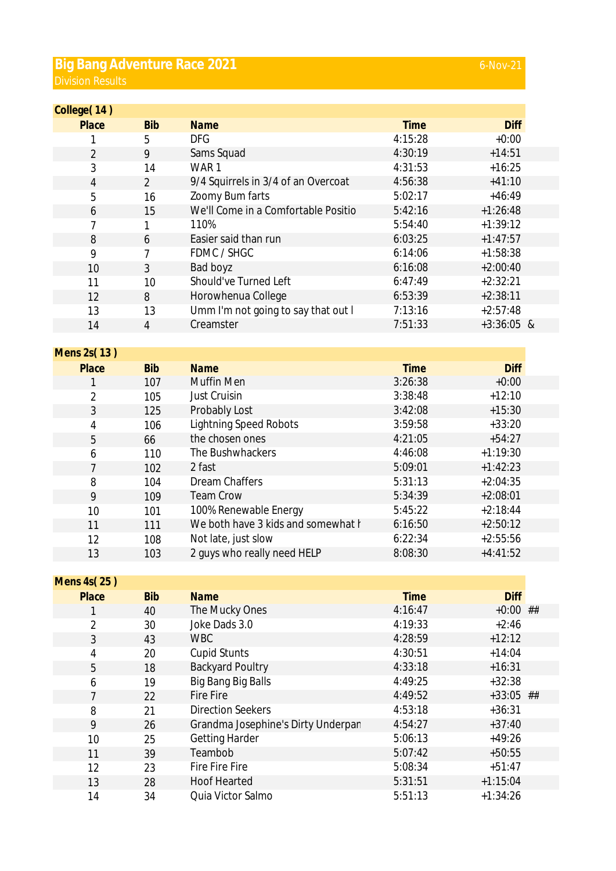## **Big Bang Adventure Race 2021 Division Results**

| College(14)      |                |                                                  |             |              |
|------------------|----------------|--------------------------------------------------|-------------|--------------|
| Place            | <b>Bib</b>     | <b>Name</b>                                      | <b>Time</b> | <b>Diff</b>  |
| 1                | 5              | <b>DFG</b>                                       | 4:15:28     | $+0:00$      |
| $\overline{2}$   | 9              | Sams Squad                                       | 4:30:19     | $+14:51$     |
| 3                | 14             | WAR1                                             | 4:31:53     | $+16:25$     |
| 4                | $\overline{2}$ | 9/4 Squirrels in 3/4 of an Overcoat              | 4:56:38     | $+41:10$     |
| 5                | 16             | Zoomy Bum farts                                  | 5:02:17     | $+46:49$     |
| 6                | 15             | We'll Come in a Comfortable Positio              | 5:42:16     | $+1:26:48$   |
| 7                | 1              | 110%                                             | 5:54:40     | $+1:39:12$   |
| 8                | 6              | Easier said than run                             | 6:03:25     | $+1:47:57$   |
| 9                | 7              | FDMC / SHGC                                      | 6:14:06     | $+1:58:38$   |
| 10               | 3              | Bad boyz                                         | 6:16:08     | $+2:00:40$   |
| 11               | 10             | Should've Turned Left                            | 6:47:49     | $+2:32:21$   |
| 12               | 8              | Horowhenua College                               | 6:53:39     | $+2:38:11$   |
|                  |                | Umm I'm not going to say that out I              | 7:13:16     | $+2:57:48$   |
| 13               | 13             | Creamster                                        | 7:51:33     | $+3:36:05$ & |
| 14               | $\overline{4}$ |                                                  |             |              |
| Mens 2s(13)      |                |                                                  |             |              |
| Place            | <b>Bib</b>     | <b>Name</b>                                      | <b>Time</b> | <b>Diff</b>  |
| 1                | 107            | Muffin Men                                       | 3:26:38     | $+0:00$      |
| 2                | 105            | Just Cruisin                                     | 3:38:48     | $+12:10$     |
| $\mathfrak{Z}$   | 125            | Probably Lost                                    | 3:42:08     | $+15:30$     |
|                  |                |                                                  | 3:59:58     | $+33:20$     |
| 4                | 106            | <b>Lightning Speed Robots</b><br>the chosen ones |             |              |
| 5                | 66             |                                                  | 4:21:05     | $+54:27$     |
| 6                | 110            | The Bushwhackers                                 | 4:46:08     | $+1:19:30$   |
| 7                | 102            | 2 fast                                           | 5:09:01     | $+1:42:23$   |
| 8                | 104            | <b>Dream Chaffers</b>                            | 5:31:13     | $+2:04:35$   |
| 9                | 109            | <b>Team Crow</b>                                 | 5:34:39     | $+2:08:01$   |
| 10               | 101            | 100% Renewable Energy                            | 5:45:22     | $+2:18:44$   |
| 11               | 111            | We both have 3 kids and somewhat I               | 6:16:50     | $+2:50:12$   |
| 12               | 108            | Not late, just slow                              | 6:22:34     | $+2:55:56$   |
| 13               | 103            | 2 guys who really need HELP                      | 8:08:30     | $+4:41:52$   |
|                  |                |                                                  |             |              |
| Mens 4s(25)      |                |                                                  |             |              |
| Place            | <b>Bib</b>     | <b>Name</b>                                      | <b>Time</b> | <b>Diff</b>  |
| 1                | 40             | The Mucky Ones                                   | 4:16:47     | $+0:00$ ##   |
| 2                | 30             | Joke Dads 3.0                                    | 4:19:33     | $+2:46$      |
| 3                | 43             | <b>WBC</b>                                       | 4:28:59     | $+12:12$     |
| 4                | 20             | <b>Cupid Stunts</b>                              | 4:30:51     | $+14:04$     |
| 5                | 18             | <b>Backyard Poultry</b>                          | 4:33:18     | $+16:31$     |
| $\boldsymbol{6}$ | 19             | Big Bang Big Balls                               | 4:49:25     | $+32:38$     |
| $\overline{7}$   | 22             | <b>Fire Fire</b>                                 | 4:49:52     | $+33:05$ ##  |
| 8                | 21             | <b>Direction Seekers</b>                         | 4:53:18     | $+36:31$     |
| 9                | 26             | Grandma Josephine's Dirty Underpar               | 4:54:27     | $+37:40$     |
| 10               | 25             | <b>Getting Harder</b>                            | 5:06:13     | $+49:26$     |
| 11               | 39             | Teambob                                          | 5:07:42     | $+50:55$     |
| 12               | 23             | <b>Fire Fire Fire</b>                            | 5:08:34     | $+51:47$     |
| 13               | 28             | <b>Hoof Hearted</b>                              | 5:31:51     | $+1:15:04$   |

14 34 Quia Victor Salmo 5:51:13 +1:34:26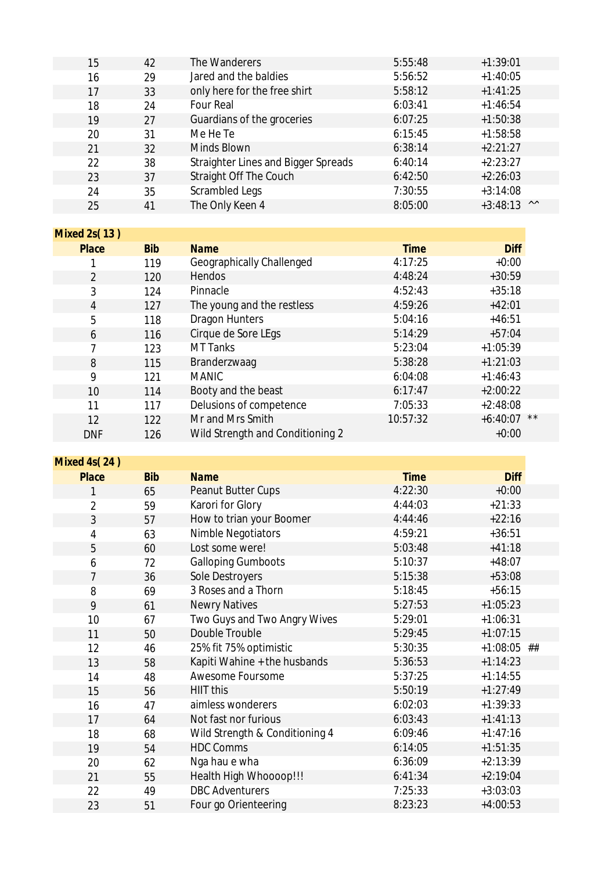| 15                  | 42         | The Wanderers                              | 5:55:48     | $+1:39:01$                   |
|---------------------|------------|--------------------------------------------|-------------|------------------------------|
| 16                  | 29         | Jared and the baldies                      | 5:56:52     | $+1:40:05$                   |
| 17                  | 33         | only here for the free shirt               | 5:58:12     | $+1:41:25$                   |
| 18                  | 24         | <b>Four Real</b>                           | 6:03:41     | $+1:46:54$                   |
| 19                  | 27         | Guardians of the groceries                 | 6:07:25     | $+1:50:38$                   |
| 20                  | 31         | Me He Te                                   | 6:15:45     | $+1:58:58$                   |
| 21                  | 32         | Minds Blown                                | 6:38:14     | $+2:21:27$                   |
| 22                  | 38         | <b>Straighter Lines and Bigger Spreads</b> | 6:40:14     | $+2:23:27$                   |
| 23                  | 37         | Straight Off The Couch                     | 6:42:50     | $+2:26:03$                   |
| 24                  | 35         | Scrambled Legs                             | 7:30:55     | $+3:14:08$                   |
| 25                  | 41         | The Only Keen 4                            | 8:05:00     | $\wedge\wedge$<br>$+3:48:13$ |
|                     |            |                                            |             |                              |
| Mixed 2s(13)        |            |                                            |             |                              |
| Place               | <b>Bib</b> | <b>Name</b>                                | <b>Time</b> | <b>Diff</b>                  |
|                     | 119        | Geographically Challenged                  | 4:17:25     | $+0:00$                      |
| $\overline{2}$      | 120        | Hendos                                     | 4:48:24     | $+30:59$                     |
| 3                   | 124        | Pinnacle                                   | 4:52:43     | $+35:18$                     |
| $\overline{4}$      | 127        | The young and the restless                 | 4:59:26     | $+42:01$                     |
| 5                   | 118        | <b>Dragon Hunters</b>                      | 5:04:16     | $+46:51$                     |
| 6                   | 116        | Cirque de Sore LEgs                        | 5:14:29     | $+57:04$                     |
| 7                   | 123        | <b>MT Tanks</b>                            | 5:23:04     | $+1:05:39$                   |
| 8                   | 115        | Branderzwaag                               | 5:38:28     | $+1:21:03$                   |
| 9                   | 121        | <b>MANIC</b>                               | 6:04:08     | $+1:46:43$                   |
| 10                  | 114        | Booty and the beast                        | 6:17:47     | $+2:00:22$                   |
| 11                  | 117        | Delusions of competence                    | 7:05:33     | $+2:48:08$                   |
| 12                  | 122        | Mr and Mrs Smith                           | 10:57:32    | $+6:40:07$<br>$\star\star$   |
| <b>DNF</b>          | 126        | Wild Strength and Conditioning 2           |             | $+0:00$                      |
|                     |            |                                            |             |                              |
| <b>Mixed 4s(24)</b> |            |                                            |             |                              |
| Place               | <b>Bib</b> | <b>Name</b>                                | <b>Time</b> | <b>Diff</b>                  |
| 1                   | 65         | Peanut Butter Cups                         | 4:22:30     | $+0:00$                      |
| 2                   | 59         | Karori for Glory                           | 4:44:03     | $+21:33$                     |
| 3                   | 57         | How to trian your Boomer                   | 4:44:46     | $+22:16$                     |
| 4                   | 63         | Nimble Negotiators                         | 4:59:21     | $+36:51$                     |
| 5                   | 60         | Lost some were!                            | 5:03:48     | $+41:18$                     |
| 6                   | 72         | <b>Galloping Gumboots</b>                  | 5:10:37     | $+48:07$                     |
| 7                   | 36         | Sole Destroyers                            | 5:15:38     | $+53:08$                     |
| 8                   | 69         | 3 Roses and a Thorn                        | 5:18:45     | $+56:15$                     |
| 9                   | 61         | <b>Newry Natives</b>                       | 5:27:53     | $+1:05:23$                   |
| 10                  | 67         | Two Guys and Two Angry Wives               | 5:29:01     | $+1:06:31$                   |
| 11                  | 50         | Double Trouble                             | 5:29:45     | $+1:07:15$                   |
| 12                  | 46         | 25% fit 75% optimistic                     | 5:30:35     | $+1:08:05$ ##                |
| 13                  | 58         | Kapiti Wahine + the husbands               | 5:36:53     | $+1:14:23$                   |
| 14                  | 48         | Awesome Foursome                           | 5:37:25     | $+1:14:55$                   |
| 15                  | 56         | <b>HIIT this</b>                           | 5:50:19     | $+1:27:49$                   |
| 16                  | 47         | aimless wonderers                          | 6:02:03     | $+1:39:33$                   |
| 17                  | 64         | Not fast nor furious                       | 6:03:43     | $+1:41:13$                   |
| 18                  | 68         | Wild Strength & Conditioning 4             | 6:09:46     | $+1:47:16$                   |
| 19                  | 54         | <b>HDC Comms</b>                           | 6:14:05     | $+1:51:35$                   |
| 20                  | 62         | Nga hau e wha                              | 6:36:09     | $+2:13:39$                   |
| 21                  | 55         | Health High Whoooop!!!                     | 6:41:34     | $+2:19:04$                   |
| 22                  | 49         | <b>DBC</b> Adventurers                     | 7:25:33     | $+3:03:03$                   |
| 23                  | 51         | Four go Orienteering                       | 8:23:23     | $+4:00:53$                   |